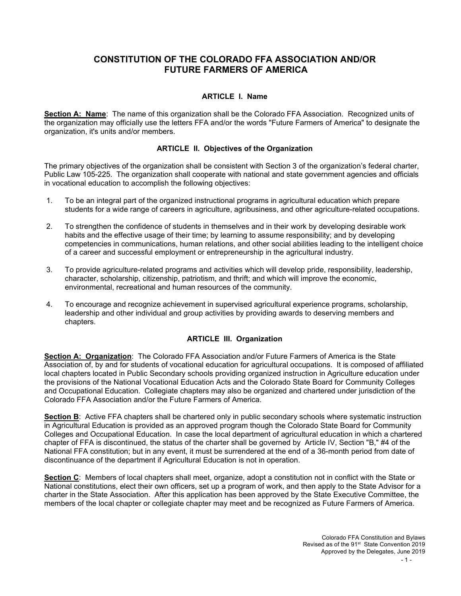# **CONSTITUTION OF THE COLORADO FFA ASSOCIATION AND/OR FUTURE FARMERS OF AMERICA**

## **ARTICLE I. Name**

**Section A: Name**: The name of this organization shall be the Colorado FFA Association. Recognized units of the organization may officially use the letters FFA and/or the words "Future Farmers of America" to designate the organization, it's units and/or members.

## **ARTICLE II. Objectives of the Organization**

The primary objectives of the organization shall be consistent with Section 3 of the organization's federal charter, Public Law 105-225. The organization shall cooperate with national and state government agencies and officials in vocational education to accomplish the following objectives:

- 1. To be an integral part of the organized instructional programs in agricultural education which prepare students for a wide range of careers in agriculture, agribusiness, and other agriculture-related occupations.
- 2. To strengthen the confidence of students in themselves and in their work by developing desirable work habits and the effective usage of their time; by learning to assume responsibility; and by developing competencies in communications, human relations, and other social abilities leading to the intelligent choice of a career and successful employment or entrepreneurship in the agricultural industry.
- 3. To provide agriculture-related programs and activities which will develop pride, responsibility, leadership, character, scholarship, citizenship, patriotism, and thrift; and which will improve the economic, environmental, recreational and human resources of the community.
- 4. To encourage and recognize achievement in supervised agricultural experience programs, scholarship, leadership and other individual and group activities by providing awards to deserving members and chapters.

## **ARTICLE III. Organization**

**Section A: Organization**: The Colorado FFA Association and/or Future Farmers of America is the State Association of, by and for students of vocational education for agricultural occupations. It is composed of affiliated local chapters located in Public Secondary schools providing organized instruction in Agriculture education under the provisions of the National Vocational Education Acts and the Colorado State Board for Community Colleges and Occupational Education. Collegiate chapters may also be organized and chartered under jurisdiction of the Colorado FFA Association and/or the Future Farmers of America.

**Section B**: Active FFA chapters shall be chartered only in public secondary schools where systematic instruction in Agricultural Education is provided as an approved program though the Colorado State Board for Community Colleges and Occupational Education. In case the local department of agricultural education in which a chartered chapter of FFA is discontinued, the status of the charter shall be governed by Article IV, Section "B," #4 of the National FFA constitution; but in any event, it must be surrendered at the end of a 36-month period from date of discontinuance of the department if Agricultural Education is not in operation.

**Section C**: Members of local chapters shall meet, organize, adopt a constitution not in conflict with the State or National constitutions, elect their own officers, set up a program of work, and then apply to the State Advisor for a charter in the State Association. After this application has been approved by the State Executive Committee, the members of the local chapter or collegiate chapter may meet and be recognized as Future Farmers of America.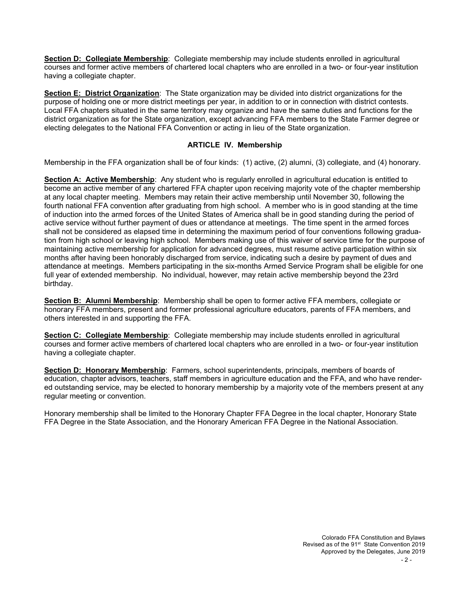**Section D: Collegiate Membership**: Collegiate membership may include students enrolled in agricultural courses and former active members of chartered local chapters who are enrolled in a two- or four-year institution having a collegiate chapter.

**Section E: District Organization**: The State organization may be divided into district organizations for the purpose of holding one or more district meetings per year, in addition to or in connection with district contests. Local FFA chapters situated in the same territory may organize and have the same duties and functions for the district organization as for the State organization, except advancing FFA members to the State Farmer degree or electing delegates to the National FFA Convention or acting in lieu of the State organization.

## **ARTICLE IV. Membership**

Membership in the FFA organization shall be of four kinds: (1) active, (2) alumni, (3) collegiate, and (4) honorary.

**Section A: Active Membership**: Any student who is regularly enrolled in agricultural education is entitled to become an active member of any chartered FFA chapter upon receiving majority vote of the chapter membership at any local chapter meeting. Members may retain their active membership until November 30, following the fourth national FFA convention after graduating from high school. A member who is in good standing at the time of induction into the armed forces of the United States of America shall be in good standing during the period of active service without further payment of dues or attendance at meetings. The time spent in the armed forces shall not be considered as elapsed time in determining the maximum period of four conventions following graduation from high school or leaving high school. Members making use of this waiver of service time for the purpose of maintaining active membership for application for advanced degrees, must resume active participation within six months after having been honorably discharged from service, indicating such a desire by payment of dues and attendance at meetings. Members participating in the six-months Armed Service Program shall be eligible for one full year of extended membership. No individual, however, may retain active membership beyond the 23rd birthday.

**Section B: Alumni Membership**: Membership shall be open to former active FFA members, collegiate or honorary FFA members, present and former professional agriculture educators, parents of FFA members, and others interested in and supporting the FFA.

**Section C: Collegiate Membership**: Collegiate membership may include students enrolled in agricultural courses and former active members of chartered local chapters who are enrolled in a two- or four-year institution having a collegiate chapter.

**Section D: Honorary Membership**: Farmers, school superintendents, principals, members of boards of education, chapter advisors, teachers, staff members in agriculture education and the FFA, and who have rendered outstanding service, may be elected to honorary membership by a majority vote of the members present at any regular meeting or convention.

Honorary membership shall be limited to the Honorary Chapter FFA Degree in the local chapter, Honorary State FFA Degree in the State Association, and the Honorary American FFA Degree in the National Association.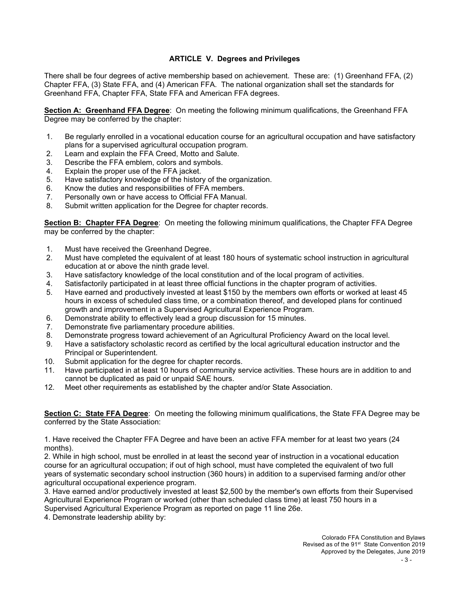# **ARTICLE V. Degrees and Privileges**

There shall be four degrees of active membership based on achievement. These are: (1) Greenhand FFA, (2) Chapter FFA, (3) State FFA, and (4) American FFA. The national organization shall set the standards for Greenhand FFA, Chapter FFA, State FFA and American FFA degrees.

**Section A: Greenhand FFA Degree**: On meeting the following minimum qualifications, the Greenhand FFA Degree may be conferred by the chapter:

- 1. Be regularly enrolled in a vocational education course for an agricultural occupation and have satisfactory plans for a supervised agricultural occupation program.
- 2. Learn and explain the FFA Creed, Motto and Salute.<br>3. Describe the FFA emblem, colors and symbols.
- Describe the FFA emblem, colors and symbols.
- 4. Explain the proper use of the FFA jacket.<br>5. Have satisfactory knowledge of the histor
- Have satisfactory knowledge of the history of the organization.
- 6. Know the duties and responsibilities of FFA members.
- 7. Personally own or have access to Official FFA Manual.
- 8. Submit written application for the Degree for chapter records.

**Section B: Chapter FFA Degree**: On meeting the following minimum qualifications, the Chapter FFA Degree may be conferred by the chapter:

- 1. Must have received the Greenhand Degree.
- 2. Must have completed the equivalent of at least 180 hours of systematic school instruction in agricultural education at or above the ninth grade level.
- 3. Have satisfactory knowledge of the local constitution and of the local program of activities.
- 4. Satisfactorily participated in at least three official functions in the chapter program of activities.
- 5. Have earned and productively invested at least \$150 by the members own efforts or worked at least 45 hours in excess of scheduled class time, or a combination thereof, and developed plans for continued growth and improvement in a Supervised Agricultural Experience Program.
- 6. Demonstrate ability to effectively lead a group discussion for 15 minutes.
- 7. Demonstrate five parliamentary procedure abilities.
- 8. Demonstrate progress toward achievement of an Agricultural Proficiency Award on the local level.
- Have a satisfactory scholastic record as certified by the local agricultural education instructor and the Principal or Superintendent.
- 10. Submit application for the degree for chapter records.
- 11. Have participated in at least 10 hours of community service activities. These hours are in addition to and cannot be duplicated as paid or unpaid SAE hours.
- 12. Meet other requirements as established by the chapter and/or State Association.

**Section C: State FFA Degree**: On meeting the following minimum qualifications, the State FFA Degree may be conferred by the State Association:

1. Have received the Chapter FFA Degree and have been an active FFA member for at least two years (24 months).

2. While in high school, must be enrolled in at least the second year of instruction in a vocational education course for an agricultural occupation; if out of high school, must have completed the equivalent of two full years of systematic secondary school instruction (360 hours) in addition to a supervised farming and/or other agricultural occupational experience program.

3. Have earned and/or productively invested at least \$2,500 by the member's own efforts from their Supervised Agricultural Experience Program or worked (other than scheduled class time) at least 750 hours in a Supervised Agricultural Experience Program as reported on page 11 line 26e.

4. Demonstrate leadership ability by: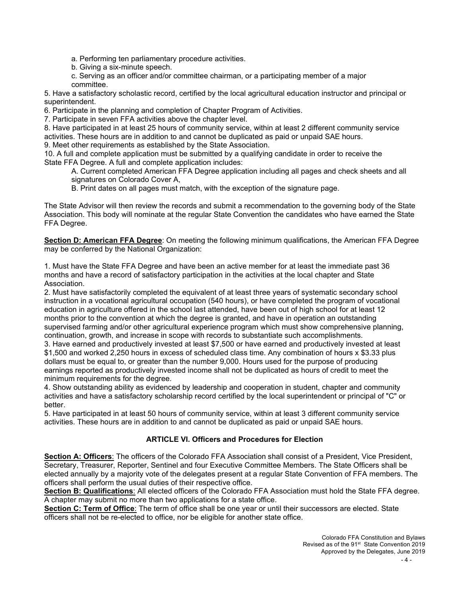a. Performing ten parliamentary procedure activities.

- b. Giving a six-minute speech.
- c. Serving as an officer and/or committee chairman, or a participating member of a major committee.

5. Have a satisfactory scholastic record, certified by the local agricultural education instructor and principal or superintendent.

6. Participate in the planning and completion of Chapter Program of Activities.

7. Participate in seven FFA activities above the chapter level.

8. Have participated in at least 25 hours of community service, within at least 2 different community service activities. These hours are in addition to and cannot be duplicated as paid or unpaid SAE hours.

9. Meet other requirements as established by the State Association.

10. A full and complete application must be submitted by a qualifying candidate in order to receive the State FFA Degree. A full and complete application includes:

A. Current completed American FFA Degree application including all pages and check sheets and all signatures on Colorado Cover A,

B. Print dates on all pages must match, with the exception of the signature page.

The State Advisor will then review the records and submit a recommendation to the governing body of the State Association. This body will nominate at the regular State Convention the candidates who have earned the State FFA Degree.

**Section D: American FFA Degree**: On meeting the following minimum qualifications, the American FFA Degree may be conferred by the National Organization:

1. Must have the State FFA Degree and have been an active member for at least the immediate past 36 months and have a record of satisfactory participation in the activities at the local chapter and State Association.

2. Must have satisfactorily completed the equivalent of at least three years of systematic secondary school instruction in a vocational agricultural occupation (540 hours), or have completed the program of vocational education in agriculture offered in the school last attended, have been out of high school for at least 12 months prior to the convention at which the degree is granted, and have in operation an outstanding supervised farming and/or other agricultural experience program which must show comprehensive planning, continuation, growth, and increase in scope with records to substantiate such accomplishments.

3. Have earned and productively invested at least \$7,500 or have earned and productively invested at least \$1,500 and worked 2,250 hours in excess of scheduled class time. Any combination of hours x \$3.33 plus dollars must be equal to, or greater than the number 9,000. Hours used for the purpose of producing earnings reported as productively invested income shall not be duplicated as hours of credit to meet the minimum requirements for the degree.

4. Show outstanding ability as evidenced by leadership and cooperation in student, chapter and community activities and have a satisfactory scholarship record certified by the local superintendent or principal of "C" or better.

5. Have participated in at least 50 hours of community service, within at least 3 different community service activities. These hours are in addition to and cannot be duplicated as paid or unpaid SAE hours.

## **ARTICLE VI. Officers and Procedures for Election**

**Section A: Officers**: The officers of the Colorado FFA Association shall consist of a President, Vice President, Secretary, Treasurer, Reporter, Sentinel and four Executive Committee Members. The State Officers shall be elected annually by a majority vote of the delegates present at a regular State Convention of FFA members. The officers shall perform the usual duties of their respective office.

**Section B: Qualifications**: All elected officers of the Colorado FFA Association must hold the State FFA degree. A chapter may submit no more than two applications for a state office.

**Section C: Term of Office**: The term of office shall be one year or until their successors are elected. State officers shall not be re-elected to office, nor be eligible for another state office.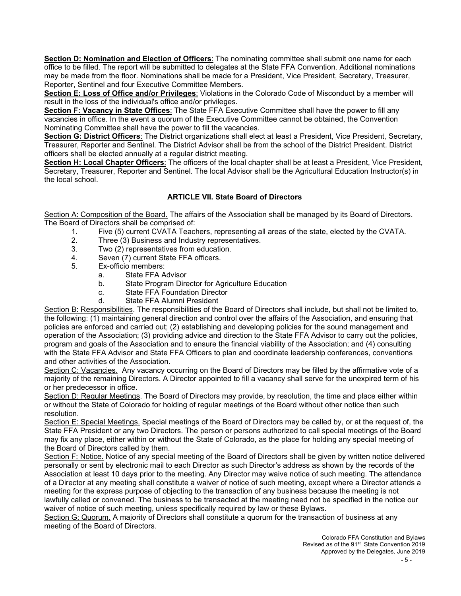**Section D: Nomination and Election of Officers**: The nominating committee shall submit one name for each office to be filled. The report will be submitted to delegates at the State FFA Convention. Additional nominations may be made from the floor. Nominations shall be made for a President, Vice President, Secretary, Treasurer, Reporter, Sentinel and four Executive Committee Members.

**Section E: Loss of Office and/or Privileges**: Violations in the Colorado Code of Misconduct by a member will result in the loss of the individual's office and/or privileges.

**Section F: Vacancy in State Offices**: The State FFA Executive Committee shall have the power to fill any vacancies in office. In the event a quorum of the Executive Committee cannot be obtained, the Convention Nominating Committee shall have the power to fill the vacancies.

**Section G: District Officers**: The District organizations shall elect at least a President, Vice President, Secretary, Treasurer, Reporter and Sentinel. The District Advisor shall be from the school of the District President. District officers shall be elected annually at a regular district meeting.

**Section H: Local Chapter Officers**: The officers of the local chapter shall be at least a President, Vice President, Secretary, Treasurer, Reporter and Sentinel. The local Advisor shall be the Agricultural Education Instructor(s) in the local school.

# **ARTICLE VII. State Board of Directors**

Section A: Composition of the Board. The affairs of the Association shall be managed by its Board of Directors. The Board of Directors shall be comprised of:<br>Five (5) current CVATA Teacl

- 1. Five (5) current CVATA Teachers, representing all areas of the state, elected by the CVATA.
- Three (3) Business and Industry representatives.
- 3. Two (2) representatives from education.
- 4. Seven (7) current State FFA officers.<br>5. Ex-officio members:
- Ex-officio members:
	- a. State FFA Advisor
	- b. State Program Director for Agriculture Education
	- c. State FFA Foundation Director
	- d. State FFA Alumni President

Section B: Responsibilities. The responsibilities of the Board of Directors shall include, but shall not be limited to, the following: (1) maintaining general direction and control over the affairs of the Association, and ensuring that policies are enforced and carried out; (2) establishing and developing policies for the sound management and operation of the Association; (3) providing advice and direction to the State FFA Advisor to carry out the policies, program and goals of the Association and to ensure the financial viability of the Association; and (4) consulting with the State FFA Advisor and State FFA Officers to plan and coordinate leadership conferences, conventions and other activities of the Association.

Section C: Vacancies. Any vacancy occurring on the Board of Directors may be filled by the affirmative vote of a majority of the remaining Directors. A Director appointed to fill a vacancy shall serve for the unexpired term of his or her predecessor in office.

Section D: Regular Meetings. The Board of Directors may provide, by resolution, the time and place either within or without the State of Colorado for holding of regular meetings of the Board without other notice than such resolution.

Section E: Special Meetings. Special meetings of the Board of Directors may be called by, or at the request of, the State FFA President or any two Directors. The person or persons authorized to call special meetings of the Board may fix any place, either within or without the State of Colorado, as the place for holding any special meeting of the Board of Directors called by them.

Section F: Notice. Notice of any special meeting of the Board of Directors shall be given by written notice delivered personally or sent by electronic mail to each Director as such Director's address as shown by the records of the Association at least 10 days prior to the meeting. Any Director may waive notice of such meeting. The attendance of a Director at any meeting shall constitute a waiver of notice of such meeting, except where a Director attends a meeting for the express purpose of objecting to the transaction of any business because the meeting is not lawfully called or convened. The business to be transacted at the meeting need not be specified in the notice our waiver of notice of such meeting, unless specifically required by law or these Bylaws.

Section G: Quorum. A majority of Directors shall constitute a quorum for the transaction of business at any meeting of the Board of Directors.

> Colorado FFA Constitution and Bylaws Revised as of the 91<sup>st</sup> State Convention 2019 Approved by the Delegates, June 2019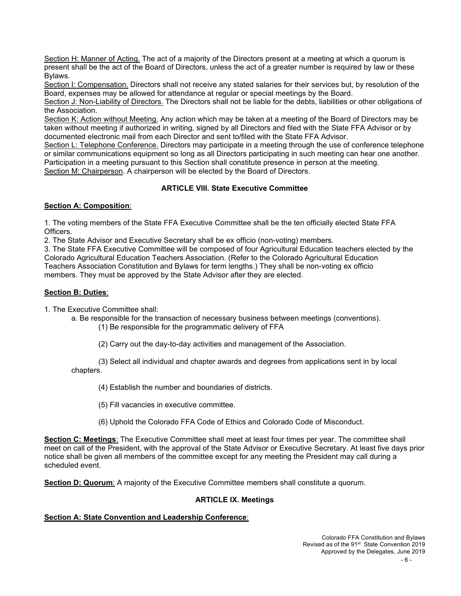Section H: Manner of Acting. The act of a majority of the Directors present at a meeting at which a quorum is present shall be the act of the Board of Directors, unless the act of a greater number is required by law or these Bylaws.

Section I: Compensation. Directors shall not receive any stated salaries for their services but, by resolution of the Board, expenses may be allowed for attendance at regular or special meetings by the Board.

Section J: Non-Liability of Directors. The Directors shall not be liable for the debts, liabilities or other obligations of the Association.

Section K: Action without Meeting. Any action which may be taken at a meeting of the Board of Directors may be taken without meeting if authorized in writing, signed by all Directors and filed with the State FFA Advisor or by documented electronic mail from each Director and sent to/filed with the State FFA Advisor.

Section L: Telephone Conference. Directors may participate in a meeting through the use of conference telephone or similar communications equipment so long as all Directors participating in such meeting can hear one another. Participation in a meeting pursuant to this Section shall constitute presence in person at the meeting. Section M: Chairperson. A chairperson will be elected by the Board of Directors.

# **ARTICLE VIII. State Executive Committee**

#### **Section A: Composition**:

1. The voting members of the State FFA Executive Committee shall be the ten officially elected State FFA Officers.

2. The State Advisor and Executive Secretary shall be ex officio (non-voting) members.

3. The State FFA Executive Committee will be composed of four Agricultural Education teachers elected by the Colorado Agricultural Education Teachers Association. (Refer to the Colorado Agricultural Education Teachers Association Constitution and Bylaws for term lengths.) They shall be non-voting ex officio members. They must be approved by the State Advisor after they are elected.

#### **Section B: Duties**:

1. The Executive Committee shall:

a. Be responsible for the transaction of necessary business between meetings (conventions).

(1) Be responsible for the programmatic delivery of FFA

(2) Carry out the day-to-day activities and management of the Association.

(3) Select all individual and chapter awards and degrees from applications sent in by local chapters.

(4) Establish the number and boundaries of districts.

(5) Fill vacancies in executive committee.

(6) Uphold the Colorado FFA Code of Ethics and Colorado Code of Misconduct.

**Section C: Meetings**: The Executive Committee shall meet at least four times per year. The committee shall meet on call of the President, with the approval of the State Advisor or Executive Secretary. At least five days prior notice shall be given all members of the committee except for any meeting the President may call during a scheduled event.

**Section D: Quorum**: A majority of the Executive Committee members shall constitute a quorum.

## **ARTICLE IX. Meetings**

# **Section A: State Convention and Leadership Conference**: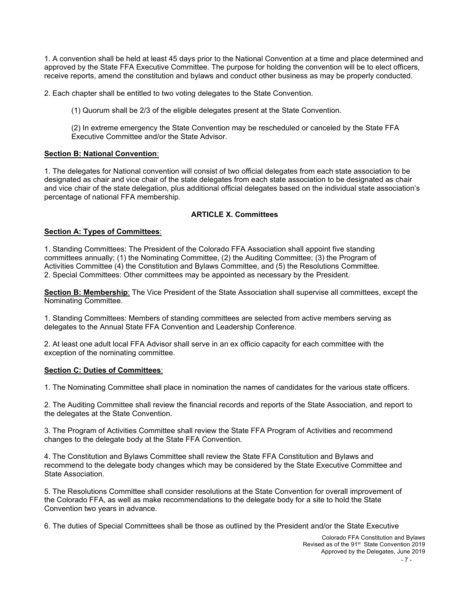1. A convention shall be held at least 45 days prior to the National Convention at a time and place determined and approved by the State FFA Executive Committee. The purpose for holding the convention will be to elect officers, receive reports, amend the constitution and bylaws and conduct other business as may be properly conducted.

2. Each chapter shall be entitled to two voting delegates to the State Convention.

(1) Quorum shall be 2/3 of the eligible delegates present at the State Convention.

(2) In extreme emergency the State Convention may be rescheduled or canceled by the State FFA Executive Committee and/or the State Advisor.

#### **Section B: National Convention**:

1. The delegates for National convention will consist of two official delegates from each state association to be designated as chair and vice chair of the state delegates from each state association to be designated as chair and vice chair of the state delegation, plus additional official delegates based on the individual state association's percentage of national FFA membership.

#### **ARTICLE X. Committees**

#### **Section A: Types of Committees**:

1. Standing Committees: The President of the Colorado FFA Association shall appoint five standing committees annually; (1) the Nominating Committee, (2) the Auditing Committee; (3) the Program of Activities Committee (4) the Constitution and Bylaws Committee, and (5) the Resolutions Committee. 2. Special Committees: Other committees may be appointed as necessary by the President.

**Section B: Membership**: The Vice President of the State Association shall supervise all committees, except the Nominating Committee.

1. Standing Committees: Members of standing committees are selected from active members serving as delegates to the Annual State FFA Convention and Leadership Conference.

2. At least one adult local FFA Advisor shall serve in an ex officio capacity for each committee with the exception of the nominating committee.

#### **Section C: Duties of Committees**:

1. The Nominating Committee shall place in nomination the names of candidates for the various state officers.

2. The Auditing Committee shall review the financial records and reports of the State Association, and report to the delegates at the State Convention.

3. The Program of Activities Committee shall review the State FFA Program of Activities and recommend changes to the delegate body at the State FFA Convention.

4. The Constitution and Bylaws Committee shall review the State FFA Constitution and Bylaws and recommend to the delegate body changes which may be considered by the State Executive Committee and State Association.

5. The Resolutions Committee shall consider resolutions at the State Convention for overall improvement of the Colorado FFA, as well as make recommendations to the delegate body for a site to hold the State Convention two years in advance.

6. The duties of Special Committees shall be those as outlined by the President and/or the State Executive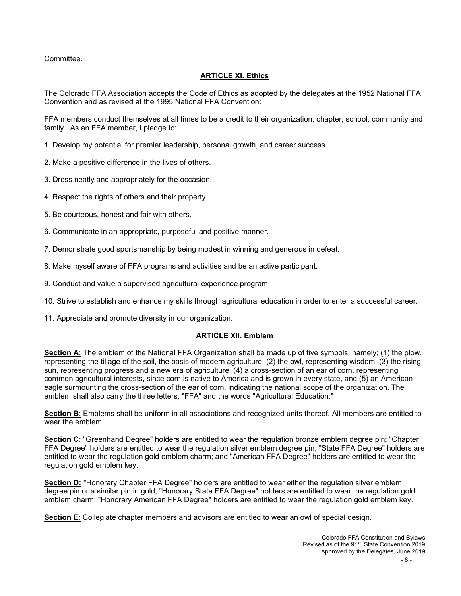Committee.

## **ARTICLE XI. Ethics**

The Colorado FFA Association accepts the Code of Ethics as adopted by the delegates at the 1952 National FFA Convention and as revised at the 1995 National FFA Convention:

FFA members conduct themselves at all times to be a credit to their organization, chapter, school, community and family. As an FFA member, I pledge to:

- 1. Develop my potential for premier leadership, personal growth, and career success.
- 2. Make a positive difference in the lives of others.
- 3. Dress neatly and appropriately for the occasion.
- 4. Respect the rights of others and their property.
- 5. Be courteous, honest and fair with others.
- 6. Communicate in an appropriate, purposeful and positive manner.
- 7. Demonstrate good sportsmanship by being modest in winning and generous in defeat.
- 8. Make myself aware of FFA programs and activities and be an active participant.
- 9. Conduct and value a supervised agricultural experience program.
- 10. Strive to establish and enhance my skills through agricultural education in order to enter a successful career.
- 11. Appreciate and promote diversity in our organization.

#### **ARTICLE XII. Emblem**

**Section A**: The emblem of the National FFA Organization shall be made up of five symbols; namely; (1) the plow, representing the tillage of the soil, the basis of modern agriculture; (2) the owl, representing wisdom; (3) the rising sun, representing progress and a new era of agriculture; (4) a cross-section of an ear of corn, representing common agricultural interests, since corn is native to America and is grown in every state, and (5) an American eagle surmounting the cross-section of the ear of corn, indicating the national scope of the organization. The emblem shall also carry the three letters, "FFA" and the words "Agricultural Education."

**Section B**: Emblems shall be uniform in all associations and recognized units thereof. All members are entitled to wear the emblem.

**Section C**: "Greenhand Degree" holders are entitled to wear the regulation bronze emblem degree pin; "Chapter FFA Degree" holders are entitled to wear the regulation silver emblem degree pin; "State FFA Degree" holders are entitled to wear the regulation gold emblem charm; and "American FFA Degree" holders are entitled to wear the regulation gold emblem key.

**Section D:** "Honorary Chapter FFA Degree" holders are entitled to wear either the regulation silver emblem degree pin or a similar pin in gold; "Honorary State FFA Degree" holders are entitled to wear the regulation gold emblem charm; "Honorary American FFA Degree" holders are entitled to wear the regulation gold emblem key.

**Section E**: Collegiate chapter members and advisors are entitled to wear an owl of special design.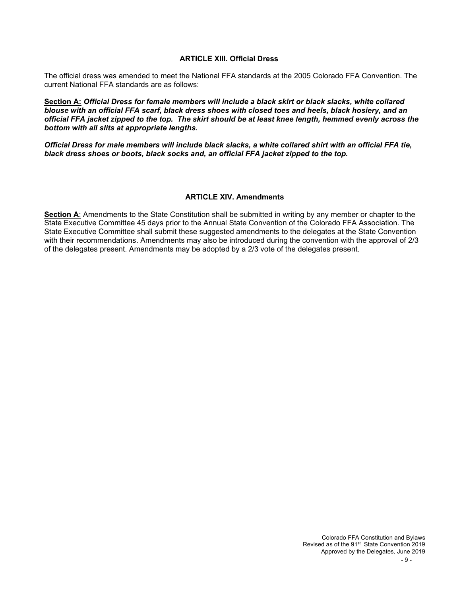#### **ARTICLE XIII. Official Dress**

The official dress was amended to meet the National FFA standards at the 2005 Colorado FFA Convention. The current National FFA standards are as follows:

**Section A:** *Official Dress for female members will include a black skirt or black slacks, white collared blouse with an official FFA scarf, black dress shoes with closed toes and heels, black hosiery, and an official FFA jacket zipped to the top. The skirt should be at least knee length, hemmed evenly across the bottom with all slits at appropriate lengths.*

*Official Dress for male members will include black slacks, a white collared shirt with an official FFA tie, black dress shoes or boots, black socks and, an official FFA jacket zipped to the top.*

#### **ARTICLE XIV. Amendments**

**Section A**: Amendments to the State Constitution shall be submitted in writing by any member or chapter to the State Executive Committee 45 days prior to the Annual State Convention of the Colorado FFA Association. The State Executive Committee shall submit these suggested amendments to the delegates at the State Convention with their recommendations. Amendments may also be introduced during the convention with the approval of 2/3 of the delegates present. Amendments may be adopted by a 2/3 vote of the delegates present.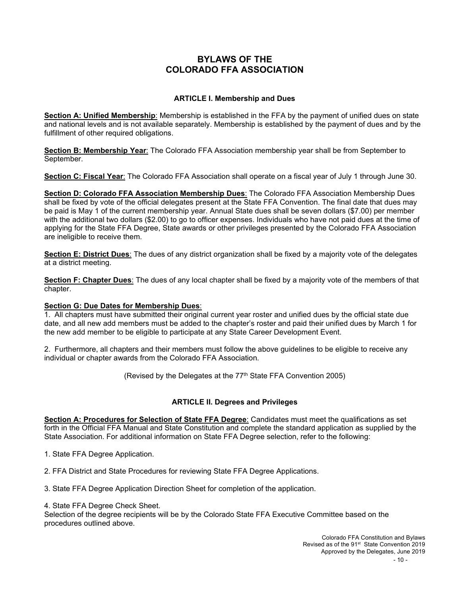# **BYLAWS OF THE COLORADO FFA ASSOCIATION**

## **ARTICLE I. Membership and Dues**

**Section A: Unified Membership**: Membership is established in the FFA by the payment of unified dues on state and national levels and is not available separately. Membership is established by the payment of dues and by the fulfillment of other required obligations.

**Section B: Membership Year**: The Colorado FFA Association membership year shall be from September to September.

**Section C: Fiscal Year**: The Colorado FFA Association shall operate on a fiscal year of July 1 through June 30.

**Section D: Colorado FFA Association Membership Dues**: The Colorado FFA Association Membership Dues shall be fixed by vote of the official delegates present at the State FFA Convention. The final date that dues may be paid is May 1 of the current membership year. Annual State dues shall be seven dollars (\$7.00) per member with the additional two dollars (\$2.00) to go to officer expenses. Individuals who have not paid dues at the time of applying for the State FFA Degree, State awards or other privileges presented by the Colorado FFA Association are ineligible to receive them.

**Section E: District Dues**: The dues of any district organization shall be fixed by a majority vote of the delegates at a district meeting.

**Section F: Chapter Dues**: The dues of any local chapter shall be fixed by a majority vote of the members of that chapter.

## **Section G: Due Dates for Membership Dues**:

1. All chapters must have submitted their original current year roster and unified dues by the official state due date, and all new add members must be added to the chapter's roster and paid their unified dues by March 1 for the new add member to be eligible to participate at any State Career Development Event.

2. Furthermore, all chapters and their members must follow the above guidelines to be eligible to receive any individual or chapter awards from the Colorado FFA Association.

(Revised by the Delegates at the  $77<sup>th</sup>$  State FFA Convention 2005)

## **ARTICLE II. Degrees and Privileges**

**Section A: Procedures for Selection of State FFA Degree**: Candidates must meet the qualifications as set forth in the Official FFA Manual and State Constitution and complete the standard application as supplied by the State Association. For additional information on State FFA Degree selection, refer to the following:

1. State FFA Degree Application.

2. FFA District and State Procedures for reviewing State FFA Degree Applications.

3. State FFA Degree Application Direction Sheet for completion of the application.

4. State FFA Degree Check Sheet.

Selection of the degree recipients will be by the Colorado State FFA Executive Committee based on the procedures outlined above.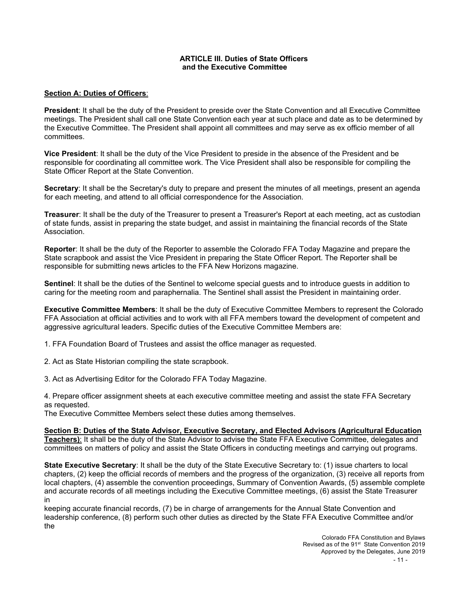#### **ARTICLE III. Duties of State Officers and the Executive Committee**

#### **Section A: Duties of Officers**:

**President**: It shall be the duty of the President to preside over the State Convention and all Executive Committee meetings. The President shall call one State Convention each year at such place and date as to be determined by the Executive Committee. The President shall appoint all committees and may serve as ex officio member of all committees.

**Vice President**: It shall be the duty of the Vice President to preside in the absence of the President and be responsible for coordinating all committee work. The Vice President shall also be responsible for compiling the State Officer Report at the State Convention.

**Secretary**: It shall be the Secretary's duty to prepare and present the minutes of all meetings, present an agenda for each meeting, and attend to all official correspondence for the Association.

**Treasurer**: It shall be the duty of the Treasurer to present a Treasurer's Report at each meeting, act as custodian of state funds, assist in preparing the state budget, and assist in maintaining the financial records of the State Association.

**Reporter**: It shall be the duty of the Reporter to assemble the Colorado FFA Today Magazine and prepare the State scrapbook and assist the Vice President in preparing the State Officer Report. The Reporter shall be responsible for submitting news articles to the FFA New Horizons magazine.

**Sentinel**: It shall be the duties of the Sentinel to welcome special guests and to introduce guests in addition to caring for the meeting room and paraphernalia. The Sentinel shall assist the President in maintaining order.

**Executive Committee Members**: It shall be the duty of Executive Committee Members to represent the Colorado FFA Association at official activities and to work with all FFA members toward the development of competent and aggressive agricultural leaders. Specific duties of the Executive Committee Members are:

1. FFA Foundation Board of Trustees and assist the office manager as requested.

2. Act as State Historian compiling the state scrapbook.

3. Act as Advertising Editor for the Colorado FFA Today Magazine.

4. Prepare officer assignment sheets at each executive committee meeting and assist the state FFA Secretary as requested.

The Executive Committee Members select these duties among themselves.

**Section B: Duties of the State Advisor, Executive Secretary, and Elected Advisors (Agricultural Education Teachers)**: It shall be the duty of the State Advisor to advise the State FFA Executive Committee, delegates and committees on matters of policy and assist the State Officers in conducting meetings and carrying out programs.

**State Executive Secretary**: It shall be the duty of the State Executive Secretary to: (1) issue charters to local chapters, (2) keep the official records of members and the progress of the organization, (3) receive all reports from local chapters, (4) assemble the convention proceedings, Summary of Convention Awards, (5) assemble complete and accurate records of all meetings including the Executive Committee meetings, (6) assist the State Treasurer in

keeping accurate financial records, (7) be in charge of arrangements for the Annual State Convention and leadership conference, (8) perform such other duties as directed by the State FFA Executive Committee and/or the

> Colorado FFA Constitution and Bylaws Revised as of the 91<sup>st</sup> State Convention 2019 Approved by the Delegates, June 2019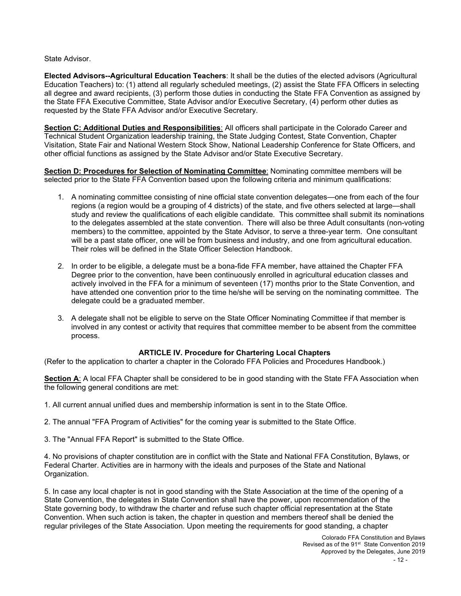State Advisor.

**Elected Advisors--Agricultural Education Teachers**: It shall be the duties of the elected advisors (Agricultural Education Teachers) to: (1) attend all regularly scheduled meetings, (2) assist the State FFA Officers in selecting all degree and award recipients, (3) perform those duties in conducting the State FFA Convention as assigned by the State FFA Executive Committee, State Advisor and/or Executive Secretary, (4) perform other duties as requested by the State FFA Advisor and/or Executive Secretary.

**Section C: Additional Duties and Responsibilities**: All officers shall participate in the Colorado Career and Technical Student Organization leadership training, the State Judging Contest, State Convention, Chapter Visitation, State Fair and National Western Stock Show, National Leadership Conference for State Officers, and other official functions as assigned by the State Advisor and/or State Executive Secretary.

**Section D: Procedures for Selection of Nominating Committee**: Nominating committee members will be selected prior to the State FFA Convention based upon the following criteria and minimum qualifications:

- 1. A nominating committee consisting of nine official state convention delegates—one from each of the four regions (a region would be a grouping of 4 districts) of the state, and five others selected at large—shall study and review the qualifications of each eligible candidate. This committee shall submit its nominations to the delegates assembled at the state convention. There will also be three Adult consultants (non-voting members) to the committee, appointed by the State Advisor, to serve a three-year term. One consultant will be a past state officer, one will be from business and industry, and one from agricultural education. Their roles will be defined in the State Officer Selection Handbook.
- 2. In order to be eligible, a delegate must be a bona-fide FFA member, have attained the Chapter FFA Degree prior to the convention, have been continuously enrolled in agricultural education classes and actively involved in the FFA for a minimum of seventeen (17) months prior to the State Convention, and have attended one convention prior to the time he/she will be serving on the nominating committee. The delegate could be a graduated member.
- 3. A delegate shall not be eligible to serve on the State Officer Nominating Committee if that member is involved in any contest or activity that requires that committee member to be absent from the committee process.

## **ARTICLE IV. Procedure for Chartering Local Chapters**

(Refer to the application to charter a chapter in the Colorado FFA Policies and Procedures Handbook.)

**Section A**: A local FFA Chapter shall be considered to be in good standing with the State FFA Association when the following general conditions are met:

- 1. All current annual unified dues and membership information is sent in to the State Office.
- 2. The annual "FFA Program of Activities" for the coming year is submitted to the State Office.
- 3. The "Annual FFA Report" is submitted to the State Office.

4. No provisions of chapter constitution are in conflict with the State and National FFA Constitution, Bylaws, or Federal Charter. Activities are in harmony with the ideals and purposes of the State and National Organization.

5. In case any local chapter is not in good standing with the State Association at the time of the opening of a State Convention, the delegates in State Convention shall have the power, upon recommendation of the State governing body, to withdraw the charter and refuse such chapter official representation at the State Convention. When such action is taken, the chapter in question and members thereof shall be denied the regular privileges of the State Association. Upon meeting the requirements for good standing, a chapter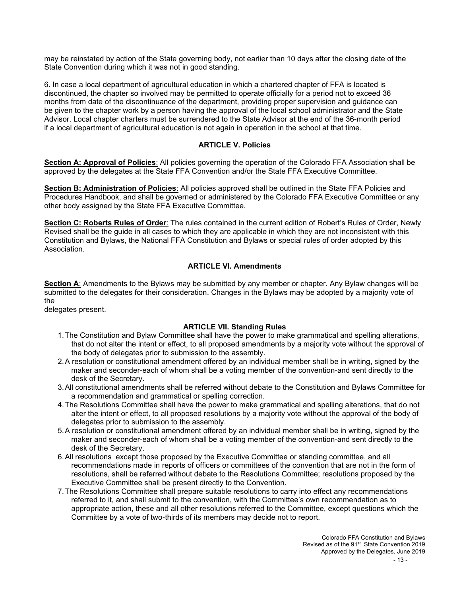may be reinstated by action of the State governing body, not earlier than 10 days after the closing date of the State Convention during which it was not in good standing.

6. In case a local department of agricultural education in which a chartered chapter of FFA is located is discontinued, the chapter so involved may be permitted to operate officially for a period not to exceed 36 months from date of the discontinuance of the department, providing proper supervision and guidance can be given to the chapter work by a person having the approval of the local school administrator and the State Advisor. Local chapter charters must be surrendered to the State Advisor at the end of the 36-month period if a local department of agricultural education is not again in operation in the school at that time.

## **ARTICLE V. Policies**

**Section A: Approval of Policies**: All policies governing the operation of the Colorado FFA Association shall be approved by the delegates at the State FFA Convention and/or the State FFA Executive Committee.

**Section B: Administration of Policies**: All policies approved shall be outlined in the State FFA Policies and Procedures Handbook, and shall be governed or administered by the Colorado FFA Executive Committee or any other body assigned by the State FFA Executive Committee.

**Section C: Roberts Rules of Order**: The rules contained in the current edition of Robert's Rules of Order, Newly Revised shall be the guide in all cases to which they are applicable in which they are not inconsistent with this Constitution and Bylaws, the National FFA Constitution and Bylaws or special rules of order adopted by this Association.

#### **ARTICLE VI. Amendments**

**Section A**: Amendments to the Bylaws may be submitted by any member or chapter. Any Bylaw changes will be submitted to the delegates for their consideration. Changes in the Bylaws may be adopted by a majority vote of the

delegates present.

## **ARTICLE VII. Standing Rules**

- 1.The Constitution and Bylaw Committee shall have the power to make grammatical and spelling alterations, that do not alter the intent or effect, to all proposed amendments by a majority vote without the approval of the body of delegates prior to submission to the assembly.
- 2.A resolution or constitutional amendment offered by an individual member shall be in writing, signed by the maker and seconder-each of whom shall be a voting member of the convention-and sent directly to the desk of the Secretary.
- 3.All constitutional amendments shall be referred without debate to the Constitution and Bylaws Committee for a recommendation and grammatical or spelling correction.
- 4.The Resolutions Committee shall have the power to make grammatical and spelling alterations, that do not alter the intent or effect, to all proposed resolutions by a majority vote without the approval of the body of delegates prior to submission to the assembly.
- 5.A resolution or constitutional amendment offered by an individual member shall be in writing, signed by the maker and seconder-each of whom shall be a voting member of the convention-and sent directly to the desk of the Secretary.
- 6.All resolutions except those proposed by the Executive Committee or standing committee, and all recommendations made in reports of officers or committees of the convention that are not in the form of resolutions, shall be referred without debate to the Resolutions Committee; resolutions proposed by the Executive Committee shall be present directly to the Convention.
- 7.The Resolutions Committee shall prepare suitable resolutions to carry into effect any recommendations referred to it, and shall submit to the convention, with the Committee's own recommendation as to appropriate action, these and all other resolutions referred to the Committee, except questions which the Committee by a vote of two-thirds of its members may decide not to report.